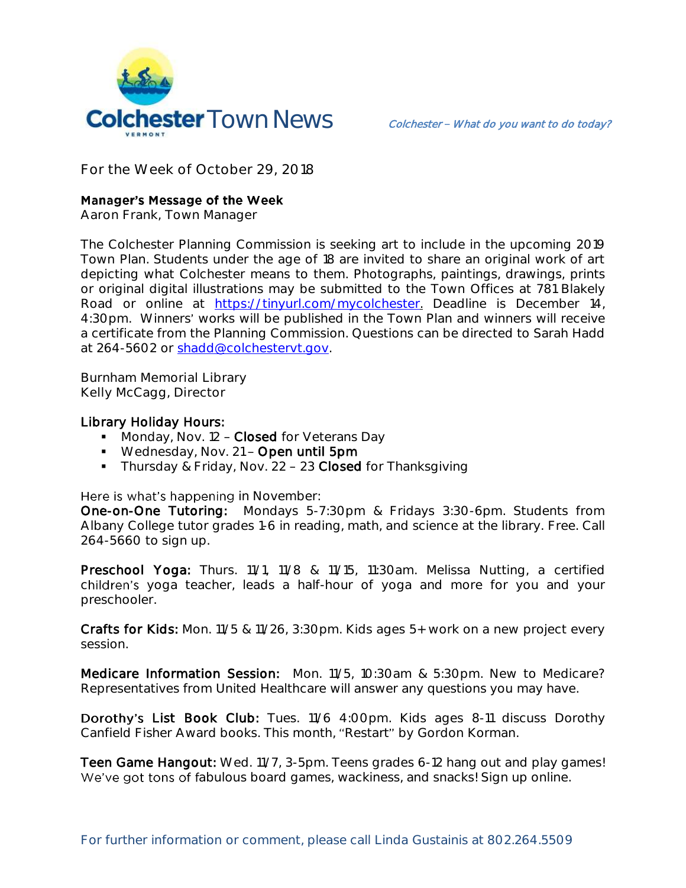

**For the Week of October 29, 2018**

## **Manager's Message of the Week**

**Aaron Frank, Town Manager**

The Colchester Planning Commission is seeking art to include in the upcoming 2019 Town Plan. Students under the age of 18 are invited to share an original work of art depicting what Colchester means to them. Photographs, paintings, drawings, prints or original digital illustrations may be submitted to the Town Offices at 781 Blakely Road or online at [https://tinyurl.com/mycolchester.](https://tinyurl.com/mycolchester) Deadline is December 14, 4:30pm. Winners' works will be published in the Town Plan and winners will receive a certificate from the Planning Commission. Questions can be directed to Sarah Hadd at 264-5602 or [shadd@colchestervt.gov.](mailto:shadd@colchestervt.gov)

**Burnham Memorial Library Kelly McCagg, Director**

## Library Holiday Hours:

- Monday, Nov. 12 Closed for Veterans Day
- **Wednesday, Nov. 21 Open until 5pm**
- Thursday & Friday, Nov. 22 23 Closed for Thanksgiving

Here is what's happening in November:

One-on-One Tutoring: Mondays 5-7:30pm & Fridays 3:30-6pm. Students from Albany College tutor grades 1-6 in reading, math, and science at the library. Free. Call 264-5660 to sign up.

Preschool Yoga: Thurs. 11/1, 11/8 & 11/15, 11:30am. Melissa Nutting, a certified children's yoga teacher, leads a half-hour of yoga and more for you and your preschooler.

Crafts for Kids: Mon. 11/5 & 11/26, 3:30pm. Kids ages 5+ work on a new project every session.

Medicare Information Session: Mon. 11/5, 10:30am & 5:30pm. New to Medicare? Representatives from United Healthcare will answer any questions you may have.

Dorothy's List Book Club: Tues. 11/6 4:00pm. Kids ages 8-11 discuss Dorothy Canfield Fisher Award books. This month, "Restart" by Gordon Korman.

Teen Game Hangout: Wed. 11/7, 3-5pm. Teens grades 6-12 hang out and play games! We've got tons of fabulous board games, wackiness, and snacks! Sign up online.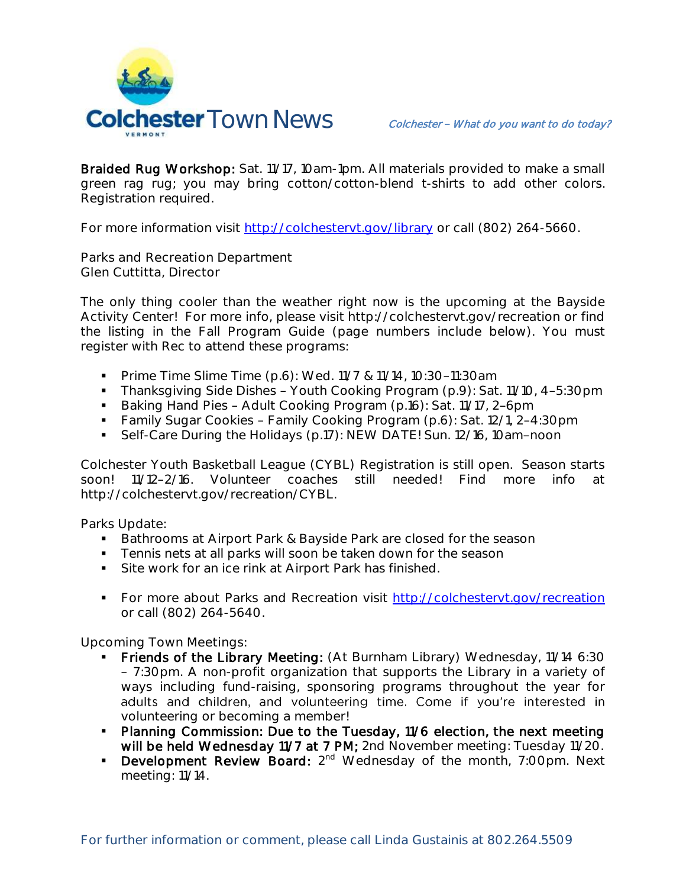

Braided Rug Workshop: Sat. 11/17, 10am-1pm. All materials provided to make a small green rag rug; you may bring cotton/cotton-blend t-shirts to add other colors. Registration required.

For more information visit<http://colchestervt.gov/library> or call (802) 264-5660.

**Parks and Recreation Department Glen Cuttitta, Director**

The only thing cooler than the weather right now is the upcoming at the Bayside Activity Center! For more info, please visit http://colchestervt.gov/recreation or find the listing in the Fall Program Guide (page numbers include below). You must register with Rec to attend these programs:

- **Prime Time Slime Time (p.6): Wed. 11/7 & 11/14, 10:30-11:30am**
- Thanksgiving Side Dishes Youth Cooking Program (p.9): Sat. 11/10, 4-5:30pm
- Baking Hand Pies Adult Cooking Program (p.16): Sat. 11/17, 2-6pm
- **Family Sugar Cookies Family Cooking Program (p.6): Sat. 12/1, 2-4:30pm**
- Self-Care During the Holidays (p.17): NEW DATE! Sun. 12/16, 10am-noon

Colchester Youth Basketball League (CYBL) Registration is still open. Season starts soon! 11/12 2/16. Volunteer coaches still needed! Find more info at http://colchestervt.gov/recreation/CYBL.

Parks Update:

- **Bathrooms at Airport Park & Bayside Park are closed for the season**
- **Tennis nets at all parks will soon be taken down for the season**
- Site work for an ice rink at Airport Park has finished.
- **For more about Parks and Recreation visit [http://colchestervt.gov/recreation](http://colchestervt.gov/Recreation/parksNRec.shtml)** or call (802) 264-5640.

**Upcoming Town Meetings:** 

- Friends of the Library Meeting: (At Burnham Library) Wednesday, 11/14 6:30 7:30pm. A non-profit organization that supports the Library in a variety of ways including fund-raising, sponsoring programs throughout the year for adults and children, and volunteering time. Come if you're interested in volunteering or becoming a member!
- Planning Commission: Due to the Tuesday, 11/6 election, the next meeting will be held Wednesday 11/7 at 7 PM; 2nd November meeting: Tuesday 11/20.
- **Development Review Board:**  $2^{nd}$  Wednesday of the month, 7:00pm. Next meeting: 11/14.